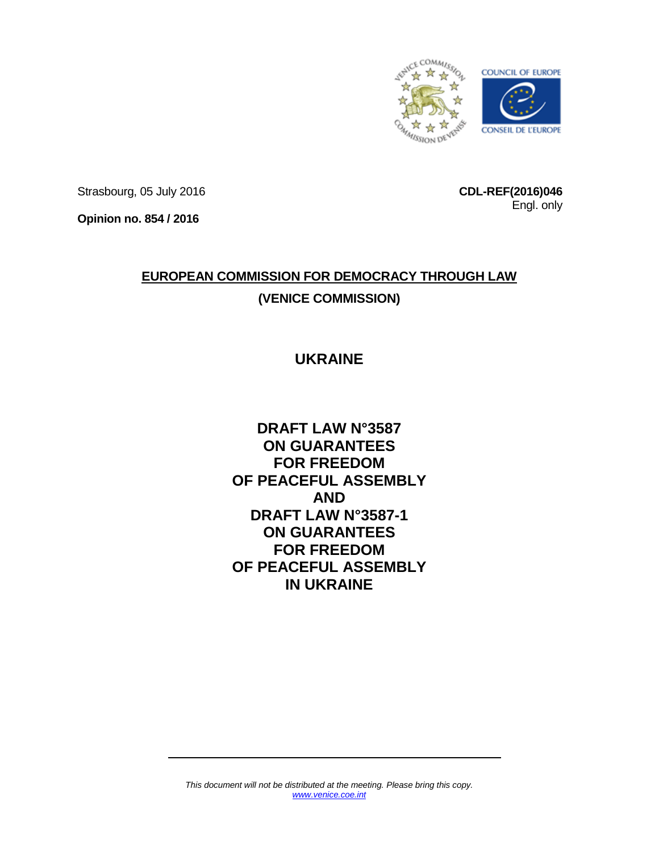

Strasbourg, 05 July 2016

**CDL-REF(2016)046** Engl. only

**Opinion no. 854 / 2016**

# **EUROPEAN COMMISSION FOR DEMOCRACY THROUGH LAW (VENICE COMMISSION)**

## **UKRAINE**

**DRAFT LAW N°3587 ON GUARANTEES FOR FREEDOM OF PEACEFUL ASSEMBLY AND DRAFT LAW N°3587-1 ON GUARANTEES FOR FREEDOM OF PEACEFUL ASSEMBLY IN UKRAINE**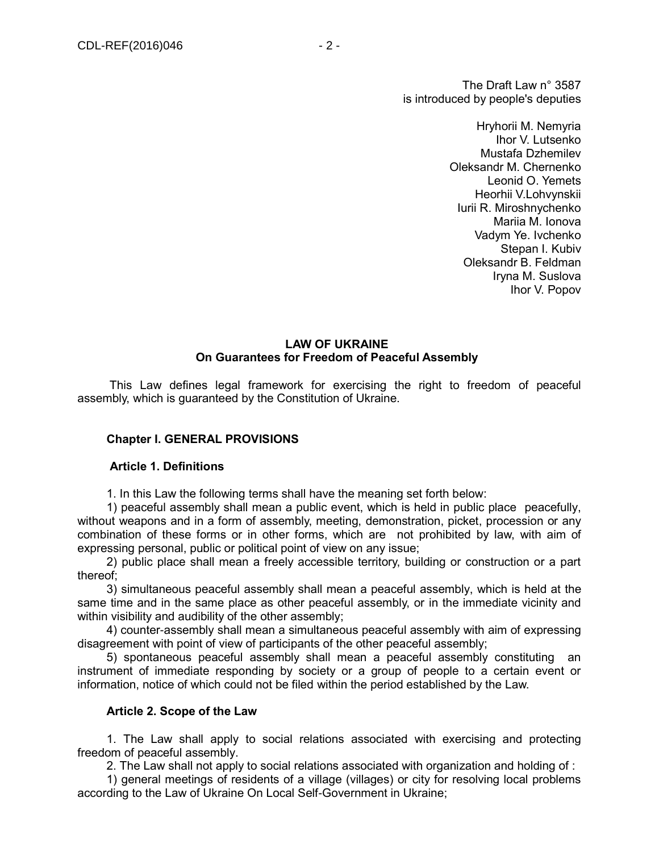The Draft Law n° 3587 is introduced by people's deputies

> Hryhorii M. Nemyria Ihor V. Lutsenko Mustafa Dzhemilev Oleksandr M. Chernenko Leonid O. Yemets Heorhii V.Lohvynskii Iurii R. Miroshnychenko Mariia M. Ionova Vadym Ye. Ivchenko Stepan I. Kubiv Oleksandr B. Feldman Iryna M. Suslova Ihor V. Popov

#### **LAW OF UKRAINE On Guarantees for Freedom of Peaceful Assembly**

This Law defines legal framework for exercising the right to freedom of peaceful assembly, which is guaranteed by the Constitution of Ukraine.

## **Chapter I. GENERAL PROVISIONS**

#### **Article 1. Definitions**

1. In this Law the following terms shall have the meaning set forth below:

1) peaceful assembly shall mean a public event, which is held in public place peacefully, without weapons and in a form of assembly, meeting, demonstration, picket, procession or any combination of these forms or in other forms, which are not prohibited by law, with aim of expressing personal, public or political point of view on any issue;

2) public place shall mean a freely accessible territory, building or construction or a part thereof;

3) simultaneous peaceful assembly shall mean a peaceful assembly, which is held at the same time and in the same place as other peaceful assembly, or in the immediate vicinity and within visibility and audibility of the other assembly;

4) counter-assembly shall mean a simultaneous peaceful assembly with aim of expressing disagreement with point of view of participants of the other peaceful assembly;

5) spontaneous peaceful assembly shall mean a peaceful assembly constituting an instrument of immediate responding by society or a group of people to a certain event or information, notice of which could not be filed within the period established by the Law.

#### **Article 2. Scope of the Law**

1. The Law shall apply to social relations associated with exercising and protecting freedom of peaceful assembly.

2. The Law shall not apply to social relations associated with organization and holding of :

1) general meetings of residents of a village (villages) or city for resolving local problems according to the Law of Ukraine On Local Self-Government in Ukraine;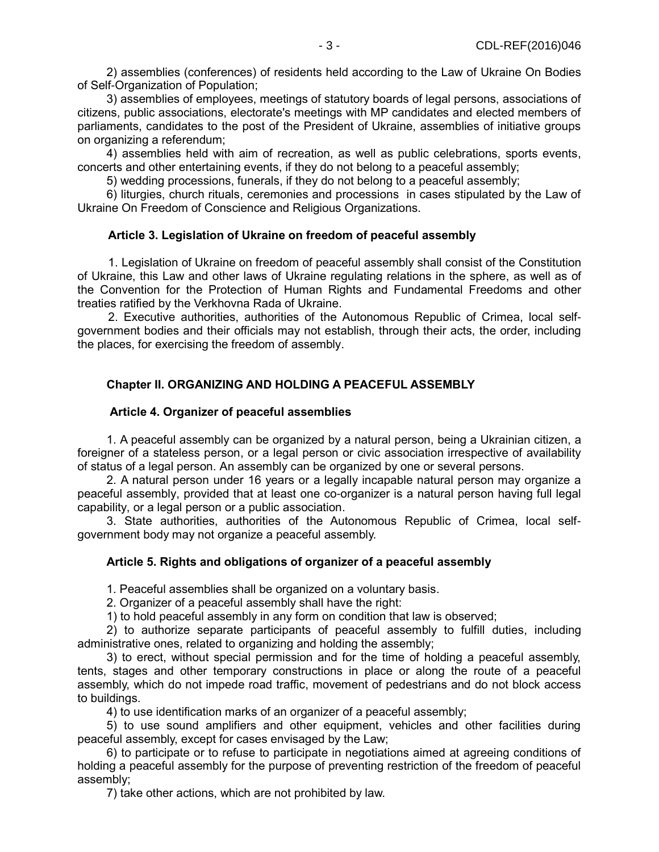2) assemblies (conferences) of residents held according to the Law of Ukraine On Bodies of Self-Organization of Population;

3) assemblies of employees, meetings of statutory boards of legal persons, associations of citizens, public associations, electorate's meetings with MP candidates and elected members of parliaments, candidates to the post of the President of Ukraine, assemblies of initiative groups on organizing a referendum;

4) assemblies held with aim of recreation, as well as public celebrations, sports events, concerts and other entertaining events, if they do not belong to a peaceful assembly;

5) wedding processions, funerals, if they do not belong to a peaceful assembly;

6) liturgies, church rituals, ceremonies and processions in cases stipulated by the Law of Ukraine On Freedom of Conscience and Religious Organizations.

## **Article 3. Legislation of Ukraine on freedom of peaceful assembly**

1. Legislation of Ukraine on freedom of peaceful assembly shall consist of the Constitution of Ukraine, this Law and other laws of Ukraine regulating relations in the sphere, as well as of the Convention for the Protection of Human Rights and Fundamental Freedoms and other treaties ratified by the Verkhovna Rada of Ukraine.

2. Executive authorities, authorities of the Autonomous Republic of Crimea, local selfgovernment bodies and their officials may not establish, through their acts, the order, including the places, for exercising the freedom of assembly.

## **Chapter II. ORGANIZING AND HOLDING A PEACEFUL ASSEMBLY**

## **Article 4. Organizer of peaceful assemblies**

1. A peaceful assembly can be organized by a natural person, being a Ukrainian citizen, a foreigner of a stateless person, or a legal person or civic association irrespective of availability of status of a legal person. An assembly can be organized by one or several persons.

2. A natural person under 16 years or a legally incapable natural person may organize a peaceful assembly, provided that at least one co-organizer is a natural person having full legal capability, or a legal person or a public association.

3. State authorities, authorities of the Autonomous Republic of Crimea, local selfgovernment body may not organize a peaceful assembly.

## **Article 5. Rights and obligations of organizer of a peaceful assembly**

1. Peaceful assemblies shall be organized on a voluntary basis.

2. Organizer of a peaceful assembly shall have the right:

1) to hold peaceful assembly in any form on condition that law is observed;

2) to authorize separate participants of peaceful assembly to fulfill duties, including administrative ones, related to organizing and holding the assembly;

3) to erect, without special permission and for the time of holding a peaceful assembly, tents, stages and other temporary constructions in place or along the route of a peaceful assembly, which do not impede road traffic, movement of pedestrians and do not block access to buildings.

4) to use identification marks of an organizer of a peaceful assembly;

5) to use sound amplifiers and other equipment, vehicles and other facilities during peaceful assembly, except for cases envisaged by the Law;

6) to participate or to refuse to participate in negotiations aimed at agreeing conditions of holding a peaceful assembly for the purpose of preventing restriction of the freedom of peaceful assembly;

7) take other actions, which are not prohibited by law.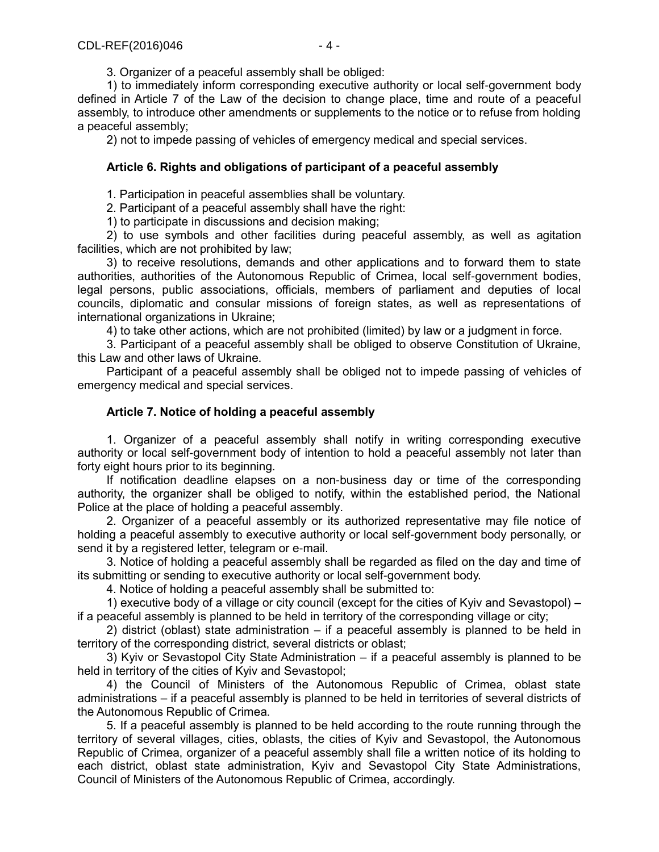3. Organizer of a peaceful assembly shall be obliged:

1) to immediately inform corresponding executive authority or local self-government body defined in Article 7 of the Law of the decision to change place, time and route of a peaceful assembly, to introduce other amendments or supplements to the notice or to refuse from holding a peaceful assembly;

2) not to impede passing of vehicles of emergency medical and special services.

## **Article 6. Rights and obligations of participant of a peaceful assembly**

1. Participation in peaceful assemblies shall be voluntary.

2. Participant of a peaceful assembly shall have the right:

1) to participate in discussions and decision making;

2) to use symbols and other facilities during peaceful assembly, as well as agitation facilities, which are not prohibited by law;

3) to receive resolutions, demands and other applications and to forward them to state authorities, authorities of the Autonomous Republic of Crimea, local self-government bodies, legal persons, public associations, officials, members of parliament and deputies of local councils, diplomatic and consular missions of foreign states, as well as representations of international organizations in Ukraine;

4) to take other actions, which are not prohibited (limited) by law or a judgment in force.

3. Participant of a peaceful assembly shall be obliged to observe Constitution of Ukraine, this Law and other laws of Ukraine.

Participant of a peaceful assembly shall be obliged not to impede passing of vehicles of emergency medical and special services.

## **Article 7. Notice of holding a peaceful assembly**

1. Organizer of a peaceful assembly shall notify in writing corresponding executive authority or local self-government body of intention to hold a peaceful assembly not later than forty eight hours prior to its beginning.

If notification deadline elapses on a non-business day or time of the corresponding authority, the organizer shall be obliged to notify, within the established period, the National Police at the place of holding a peaceful assembly.

2. Organizer of a peaceful assembly or its authorized representative may file notice of holding a peaceful assembly to executive authority or local self-government body personally, or send it by a registered letter, telegram or e-mail.

3. Notice of holding a peaceful assembly shall be regarded as filed on the day and time of its submitting or sending to executive authority or local self-government body.

4. Notice of holding a peaceful assembly shall be submitted to:

1) executive body of a village or city council (except for the cities of Kyiv and Sevastopol) – if a peaceful assembly is planned to be held in territory of the corresponding village or city;

2) district (oblast) state administration  $-$  if a peaceful assembly is planned to be held in territory of the corresponding district, several districts or oblast;

3) Kyiv or Sevastopol City State Administration – if a peaceful assembly is planned to be held in territory of the cities of Kyiv and Sevastopol;

4) the Council of Ministers of the Autonomous Republic of Crimea, oblast state administrations – if a peaceful assembly is planned to be held in territories of several districts of the Autonomous Republic of Crimea.

5. If a peaceful assembly is planned to be held according to the route running through the territory of several villages, cities, oblasts, the cities of Kyiv and Sevastopol, the Autonomous Republic of Crimea, organizer of a peaceful assembly shall file a written notice of its holding to each district, oblast state administration, Kyiv and Sevastopol City State Administrations, Council of Ministers of the Autonomous Republic of Crimea, accordingly.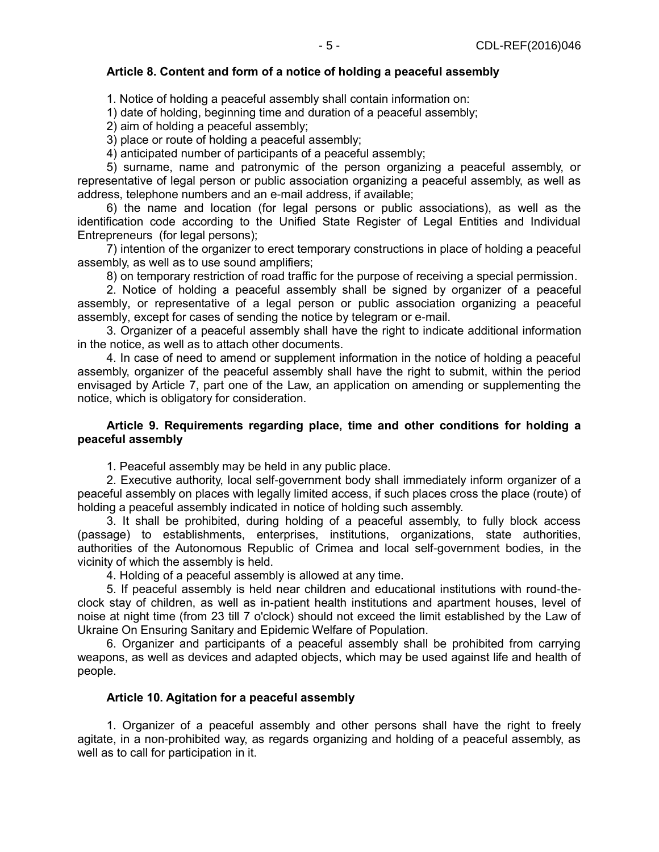## **Article 8. Content and form of a notice of holding a peaceful assembly**

1. Notice of holding a peaceful assembly shall contain information on:

1) date of holding, beginning time and duration of a peaceful assembly;

2) aim of holding a peaceful assembly;

3) place or route of holding a peaceful assembly;

4) anticipated number of participants of a peaceful assembly;

5) surname, name and patronymic of the person organizing a peaceful assembly, or representative of legal person or public association organizing a peaceful assembly, as well as address, telephone numbers and an e-mail address, if available;

6) the name and location (for legal persons or public associations), as well as the identification code according to the Unified State Register of Legal Entities and Individual Entrepreneurs (for legal persons);

7) intention of the organizer to erect temporary constructions in place of holding a peaceful assembly, as well as to use sound amplifiers;

8) on temporary restriction of road traffic for the purpose of receiving a special permission.

2. Notice of holding a peaceful assembly shall be signed by organizer of a peaceful assembly, or representative of a legal person or public association organizing a peaceful assembly, except for cases of sending the notice by telegram or e-mail.

3. Organizer of a peaceful assembly shall have the right to indicate additional information in the notice, as well as to attach other documents.

4. In case of need to amend or supplement information in the notice of holding a peaceful assembly, organizer of the peaceful assembly shall have the right to submit, within the period envisaged by Article 7, part one of the Law, an application on amending or supplementing the notice, which is obligatory for consideration.

## **Article 9. Requirements regarding place, time and other conditions for holding a peaceful assembly**

1. Peaceful assembly may be held in any public place.

2. Executive authority, local self-government body shall immediately inform organizer of a peaceful assembly on places with legally limited access, if such places cross the place (route) of holding a peaceful assembly indicated in notice of holding such assembly.

3. It shall be prohibited, during holding of a peaceful assembly, to fully block access (passage) to establishments, enterprises, institutions, organizations, state authorities, authorities of the Autonomous Republic of Crimea and local self-government bodies, in the vicinity of which the assembly is held.

4. Holding of a peaceful assembly is allowed at any time.

5. If peaceful assembly is held near children and educational institutions with round-theclock stay of children, as well as in-patient health institutions and apartment houses, level of noise at night time (from 23 till 7 o'clock) should not exceed the limit established by the Law of Ukraine On Ensuring Sanitary and Epidemic Welfare of Population.

6. Organizer and participants of a peaceful assembly shall be prohibited from carrying weapons, as well as devices and adapted objects, which may be used against life and health of people.

## **Article 10. Agitation for a peaceful assembly**

1. Organizer of a peaceful assembly and other persons shall have the right to freely agitate, in a non-prohibited way, as regards organizing and holding of a peaceful assembly, as well as to call for participation in it.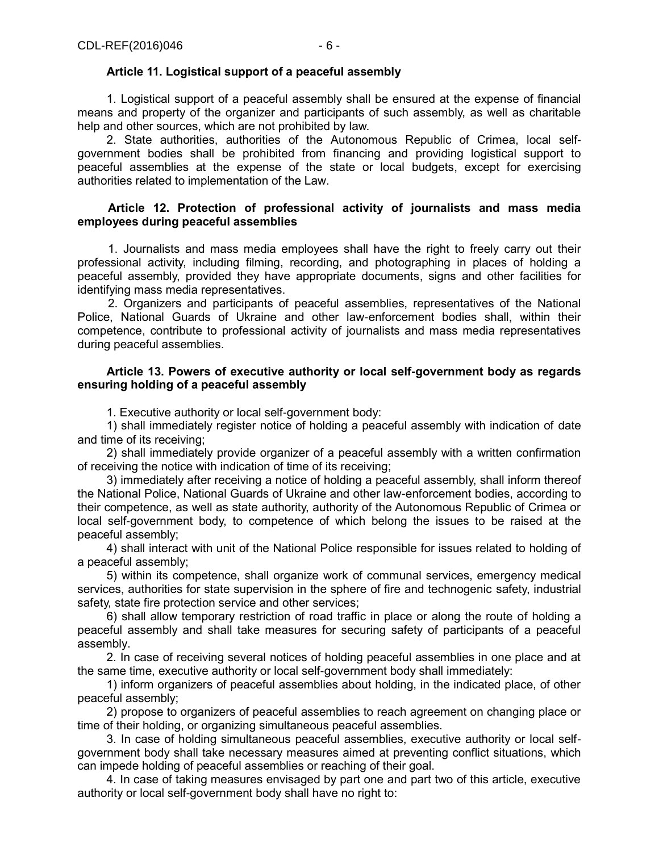## **Article 11. Logistical support of a peaceful assembly**

1. Logistical support of a peaceful assembly shall be ensured at the expense of financial means and property of the organizer and participants of such assembly, as well as charitable help and other sources, which are not prohibited by law.

2. State authorities, authorities of the Autonomous Republic of Crimea, local selfgovernment bodies shall be prohibited from financing and providing logistical support to peaceful assemblies at the expense of the state or local budgets, except for exercising authorities related to implementation of the Law.

## **Article 12. Protection of professional activity of journalists and mass media employees during peaceful assemblies**

1. Journalists and mass media employees shall have the right to freely carry out their professional activity, including filming, recording, and photographing in places of holding a peaceful assembly, provided they have appropriate documents, signs and other facilities for identifying mass media representatives.

2. Organizers and participants of peaceful assemblies, representatives of the National Police, National Guards of Ukraine and other law-enforcement bodies shall, within their competence, contribute to professional activity of journalists and mass media representatives during peaceful assemblies.

## **Article 13. Powers of executive authority or local self-government body as regards ensuring holding of a peaceful assembly**

1. Executive authority or local self-government body:

1) shall immediately register notice of holding a peaceful assembly with indication of date and time of its receiving;

2) shall immediately provide organizer of a peaceful assembly with a written confirmation of receiving the notice with indication of time of its receiving;

3) immediately after receiving a notice of holding a peaceful assembly, shall inform thereof the National Police, National Guards of Ukraine and other law-enforcement bodies, according to their competence, as well as state authority, authority of the Autonomous Republic of Crimea or local self-government body, to competence of which belong the issues to be raised at the peaceful assembly;

4) shall interact with unit of the National Police responsible for issues related to holding of a peaceful assembly;

5) within its competence, shall organize work of communal services, emergency medical services, authorities for state supervision in the sphere of fire and technogenic safety, industrial safety, state fire protection service and other services;

6) shall allow temporary restriction of road traffic in place or along the route of holding a peaceful assembly and shall take measures for securing safety of participants of a peaceful assembly.

2. In case of receiving several notices of holding peaceful assemblies in one place and at the same time, executive authority or local self-government body shall immediately:

1) inform organizers of peaceful assemblies about holding, in the indicated place, of other peaceful assembly;

2) propose to organizers of peaceful assemblies to reach agreement on changing place or time of their holding, or organizing simultaneous peaceful assemblies.

3. In case of holding simultaneous peaceful assemblies, executive authority or local selfgovernment body shall take necessary measures aimed at preventing conflict situations, which can impede holding of peaceful assemblies or reaching of their goal.

4. In case of taking measures envisaged by part one and part two of this article, executive authority or local self-government body shall have no right to: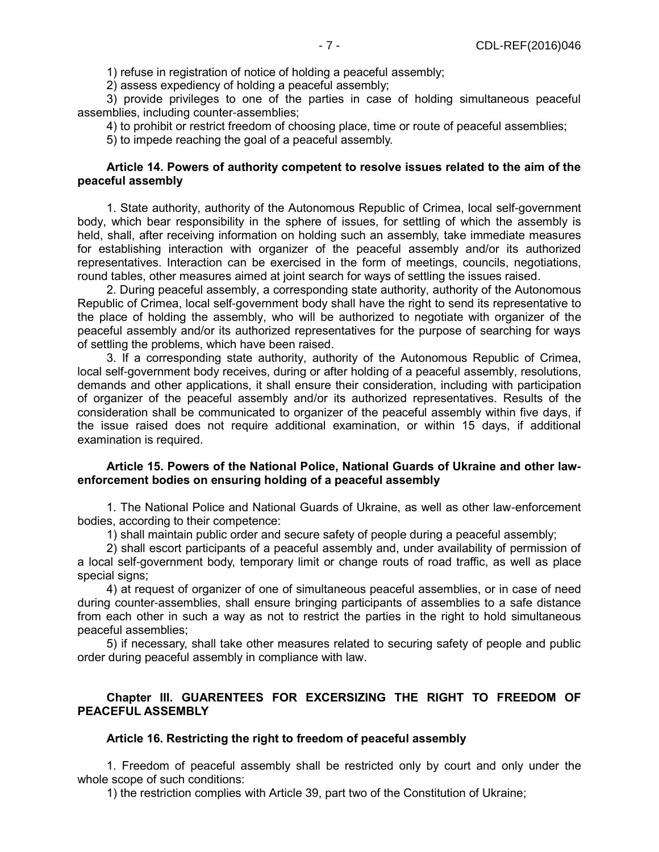1) refuse in registration of notice of holding a peaceful assembly;

2) assess expediency of holding a peaceful assembly;

3) provide privileges to one of the parties in case of holding simultaneous peaceful assemblies, including counter-assemblies;

4) to prohibit or restrict freedom of choosing place, time or route of peaceful assemblies;

5) to impede reaching the goal of a peaceful assembly.

## **Article 14. Powers of authority competent to resolve issues related to the aim of the peaceful assembly**

1. State authority, authority of the Autonomous Republic of Crimea, local self-government body, which bear responsibility in the sphere of issues, for settling of which the assembly is held, shall, after receiving information on holding such an assembly, take immediate measures for establishing interaction with organizer of the peaceful assembly and/or its authorized representatives. Interaction can be exercised in the form of meetings, councils, negotiations, round tables, other measures aimed at joint search for ways of settling the issues raised.

2. During peaceful assembly, a corresponding state authority, authority of the Autonomous Republic of Crimea, local self-government body shall have the right to send its representative to the place of holding the assembly, who will be authorized to negotiate with organizer of the peaceful assembly and/or its authorized representatives for the purpose of searching for ways of settling the problems, which have been raised.

3. If a corresponding state authority, authority of the Autonomous Republic of Crimea, local self-government body receives, during or after holding of a peaceful assembly, resolutions, demands and other applications, it shall ensure their consideration, including with participation of organizer of the peaceful assembly and/or its authorized representatives. Results of the consideration shall be communicated to organizer of the peaceful assembly within five days, if the issue raised does not require additional examination, or within 15 days, if additional examination is required.

## **Article 15. Powers of the National Police, National Guards of Ukraine and other lawenforcement bodies on ensuring holding of a peaceful assembly**

1. The National Police and National Guards of Ukraine, as well as other law-enforcement bodies, according to their competence:

1) shall maintain public order and secure safety of people during a peaceful assembly;

2) shall escort participants of a peaceful assembly and, under availability of permission of a local self-government body, temporary limit or change routs of road traffic, as well as place special signs;

4) at request of organizer of one of simultaneous peaceful assemblies, or in case of need during counter-assemblies, shall ensure bringing participants of assemblies to a safe distance from each other in such a way as not to restrict the parties in the right to hold simultaneous peaceful assemblies;

5) if necessary, shall take other measures related to securing safety of people and public order during peaceful assembly in compliance with law.

## **Chapter III. GUARENTEES FOR EXCERSIZING THE RIGHT TO FREEDOM OF PEACEFUL ASSEMBLY**

## **Article 16. Restricting the right to freedom of peaceful assembly**

1. Freedom of peaceful assembly shall be restricted only by court and only under the whole scope of such conditions:

1) the restriction complies with Article 39, part two of the Constitution of Ukraine;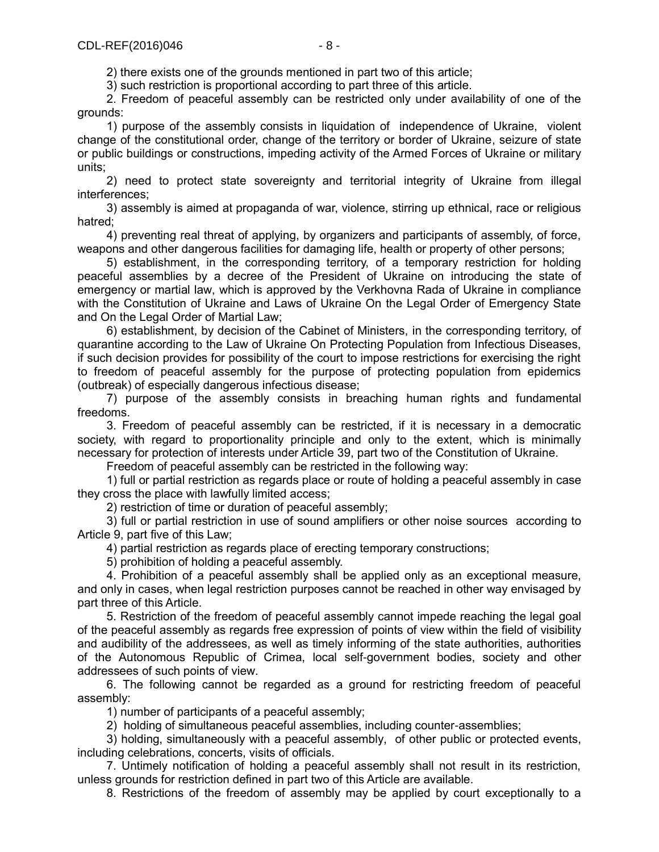2) there exists one of the grounds mentioned in part two of this article;

3) such restriction is proportional according to part three of this article.

2. Freedom of peaceful assembly can be restricted only under availability of one of the grounds:

1) purpose of the assembly consists in liquidation of independence of Ukraine, violent change of the constitutional order, change of the territory or border of Ukraine, seizure of state or public buildings or constructions, impeding activity of the Armed Forces of Ukraine or military units;

2) need to protect state sovereignty and territorial integrity of Ukraine from illegal interferences;

3) assembly is aimed at propaganda of war, violence, stirring up ethnical, race or religious hatred;

4) preventing real threat of applying, by organizers and participants of assembly, of force, weapons and other dangerous facilities for damaging life, health or property of other persons;

5) establishment, in the corresponding territory, of a temporary restriction for holding peaceful assemblies by a decree of the President of Ukraine on introducing the state of emergency or martial law, which is approved by the Verkhovna Rada of Ukraine in compliance with the Constitution of Ukraine and Laws of Ukraine On the Legal Order of Emergency State and On the Legal Order of Martial Law;

6) establishment, by decision of the Cabinet of Ministers, in the corresponding territory, of quarantine according to the Law of Ukraine On Protecting Population from Infectious Diseases, if such decision provides for possibility of the court to impose restrictions for exercising the right to freedom of peaceful assembly for the purpose of protecting population from epidemics (outbreak) of especially dangerous infectious disease;

7) purpose of the assembly consists in breaching human rights and fundamental freedoms.

3. Freedom of peaceful assembly can be restricted, if it is necessary in a democratic society, with regard to proportionality principle and only to the extent, which is minimally necessary for protection of interests under Article 39, part two of the Constitution of Ukraine.

Freedom of peaceful assembly can be restricted in the following way:

1) full or partial restriction as regards place or route of holding a peaceful assembly in case they cross the place with lawfully limited access;

2) restriction of time or duration of peaceful assembly;

3) full or partial restriction in use of sound amplifiers or other noise sources according to Article 9, part five of this Law;

4) partial restriction as regards place of erecting temporary constructions;

5) prohibition of holding a peaceful assembly.

4. Prohibition of a peaceful assembly shall be applied only as an exceptional measure, and only in cases, when legal restriction purposes cannot be reached in other way envisaged by part three of this Article.

5. Restriction of the freedom of peaceful assembly cannot impede reaching the legal goal of the peaceful assembly as regards free expression of points of view within the field of visibility and audibility of the addressees, as well as timely informing of the state authorities, authorities of the Autonomous Republic of Crimea, local self-government bodies, society and other addressees of such points of view.

6. The following cannot be regarded as a ground for restricting freedom of peaceful assembly:

1) number of participants of a peaceful assembly;

2) holding of simultaneous peaceful assemblies, including counter-assemblies;

3) holding, simultaneously with a peaceful assembly, of other public or protected events, including celebrations, concerts, visits of officials.

7. Untimely notification of holding a peaceful assembly shall not result in its restriction, unless grounds for restriction defined in part two of this Article are available.

8. Restrictions of the freedom of assembly may be applied by court exceptionally to a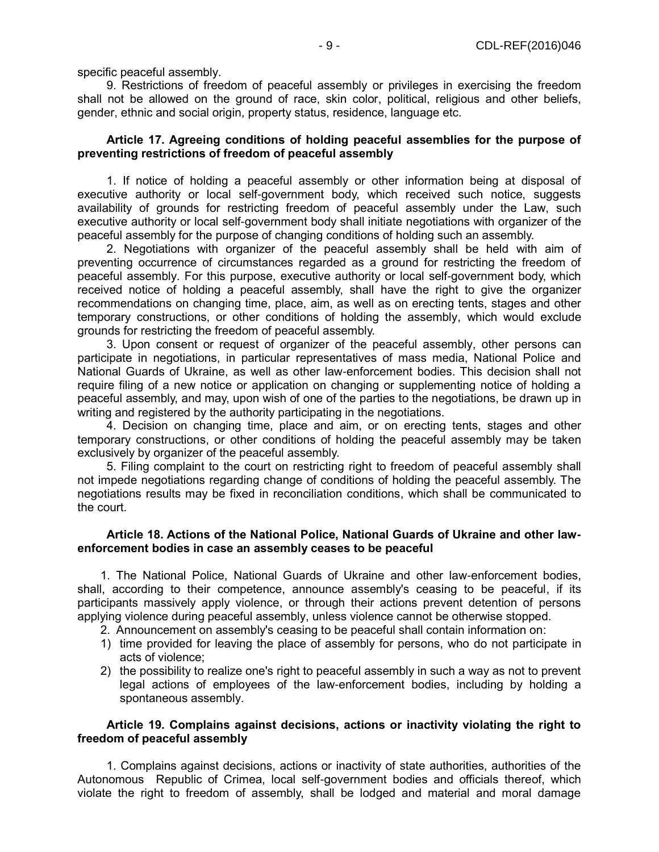specific peaceful assembly.

9. Restrictions of freedom of peaceful assembly or privileges in exercising the freedom shall not be allowed on the ground of race, skin color, political, religious and other beliefs, gender, ethnic and social origin, property status, residence, language etc.

#### **Article 17. Agreeing conditions of holding peaceful assemblies for the purpose of preventing restrictions of freedom of peaceful assembly**

1. If notice of holding a peaceful assembly or other information being at disposal of executive authority or local self-government body, which received such notice, suggests availability of grounds for restricting freedom of peaceful assembly under the Law, such executive authority or local self-government body shall initiate negotiations with organizer of the peaceful assembly for the purpose of changing conditions of holding such an assembly.

2. Negotiations with organizer of the peaceful assembly shall be held with aim of preventing occurrence of circumstances regarded as a ground for restricting the freedom of peaceful assembly. For this purpose, executive authority or local self-government body, which received notice of holding a peaceful assembly, shall have the right to give the organizer recommendations on changing time, place, aim, as well as on erecting tents, stages and other temporary constructions, or other conditions of holding the assembly, which would exclude grounds for restricting the freedom of peaceful assembly.

3. Upon consent or request of organizer of the peaceful assembly, other persons can participate in negotiations, in particular representatives of mass media, National Police and National Guards of Ukraine, as well as other law-enforcement bodies. This decision shall not require filing of a new notice or application on changing or supplementing notice of holding a peaceful assembly, and may, upon wish of one of the parties to the negotiations, be drawn up in writing and registered by the authority participating in the negotiations.

4. Decision on changing time, place and aim, or on erecting tents, stages and other temporary constructions, or other conditions of holding the peaceful assembly may be taken exclusively by organizer of the peaceful assembly.

5. Filing complaint to the court on restricting right to freedom of peaceful assembly shall not impede negotiations regarding change of conditions of holding the peaceful assembly. The negotiations results may be fixed in reconciliation conditions, which shall be communicated to the court.

## **Article 18. Actions of the National Police, National Guards of Ukraine and other lawenforcement bodies in case an assembly ceases to be peaceful**

1. The National Police, National Guards of Ukraine and other law-enforcement bodies, shall, according to their competence, announce assembly's ceasing to be peaceful, if its participants massively apply violence, or through their actions prevent detention of persons applying violence during peaceful assembly, unless violence cannot be otherwise stopped.

- 2. Announcement on assembly's ceasing to be peaceful shall contain information on:
- 1) time provided for leaving the place of assembly for persons, who do not participate in acts of violence;
- 2) the possibility to realize one's right to peaceful assembly in such a way as not to prevent legal actions of employees of the law-enforcement bodies, including by holding a spontaneous assembly.

## **Article 19. Complains against decisions, actions or inactivity violating the right to freedom of peaceful assembly**

1. Complains against decisions, actions or inactivity of state authorities, authorities of the Autonomous Republic of Crimea, local self-government bodies and officials thereof, which violate the right to freedom of assembly, shall be lodged and material and moral damage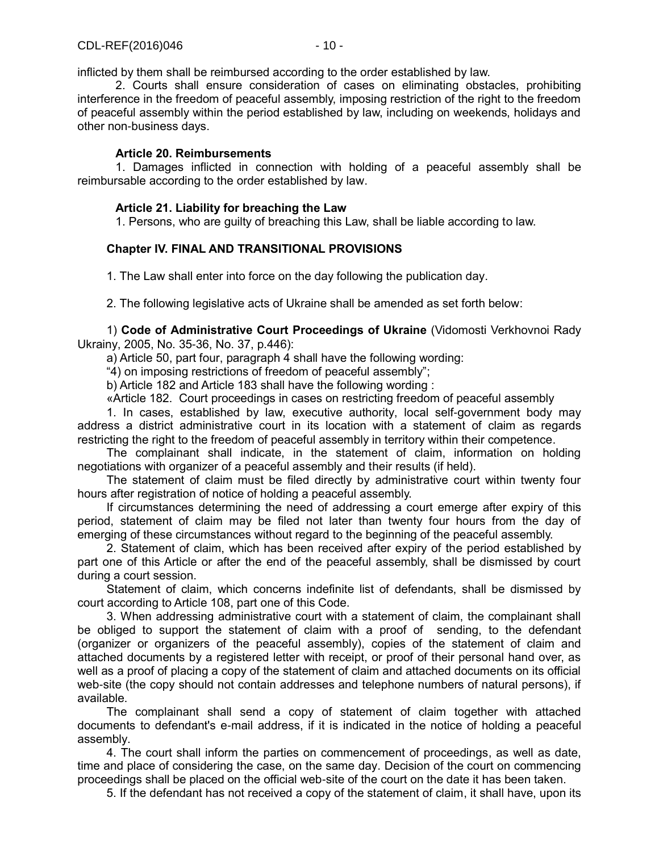inflicted by them shall be reimbursed according to the order established by law.

2. Courts shall ensure consideration of cases on eliminating obstacles, prohibiting interference in the freedom of peaceful assembly, imposing restriction of the right to the freedom of peaceful assembly within the period established by law, including on weekends, holidays and other non-business days.

## **Article 20. Reimbursements**

1. Damages inflicted in connection with holding of a peaceful assembly shall be reimbursable according to the order established by law.

## **Article 21. Liability for breaching the Law**

1. Persons, who are guilty of breaching this Law, shall be liable according to law.

## **Chapter ІV. FINAL AND TRANSITIONAL PROVISIONS**

1. The Law shall enter into force on the day following the publication day.

2. The following legislative acts of Ukraine shall be amended as set forth below:

1) **Code of Administrative Court Proceedings of Ukraine** (Vidomosti Verkhovnoi Rady Ukrainy, 2005, No. 35-36, No. 37, p.446):

a) Article 50, part four, paragraph 4 shall have the following wording:

"4) on imposing restrictions of freedom of peaceful assembly";

b) Article 182 and Article 183 shall have the following wording :

«Article 182. Court proceedings in cases on restricting freedom of peaceful assembly

1. In cases, established by law, executive authority, local self-government body may address a district administrative court in its location with a statement of claim as regards restricting the right to the freedom of peaceful assembly in territory within their competence.

The complainant shall indicate, in the statement of claim, information on holding negotiations with organizer of a peaceful assembly and their results (if held).

The statement of claim must be filed directly by administrative court within twenty four hours after registration of notice of holding a peaceful assembly.

If circumstances determining the need of addressing a court emerge after expiry of this period, statement of claim may be filed not later than twenty four hours from the day of emerging of these circumstances without regard to the beginning of the peaceful assembly.

2. Statement of claim, which has been received after expiry of the period established by part one of this Article or after the end of the peaceful assembly, shall be dismissed by court during a court session.

Statement of claim, which concerns indefinite list of defendants, shall be dismissed by court according to Article 108, part one of this Code.

3. When addressing administrative court with a statement of claim, the complainant shall be obliged to support the statement of claim with a proof of sending, to the defendant (organizer or organizers of the peaceful assembly), copies of the statement of claim and attached documents by a registered letter with receipt, or proof of their personal hand over, as well as a proof of placing a copy of the statement of claim and attached documents on its official web-site (the copy should not contain addresses and telephone numbers of natural persons), if available.

The complainant shall send a copy of statement of claim together with attached documents to defendant's e-mail address, if it is indicated in the notice of holding a peaceful assembly.

4. The court shall inform the parties on commencement of proceedings, as well as date, time and place of considering the case, on the same day. Decision of the court on commencing proceedings shall be placed on the official web-site of the court on the date it has been taken.

5. If the defendant has not received a copy of the statement of claim, it shall have, upon its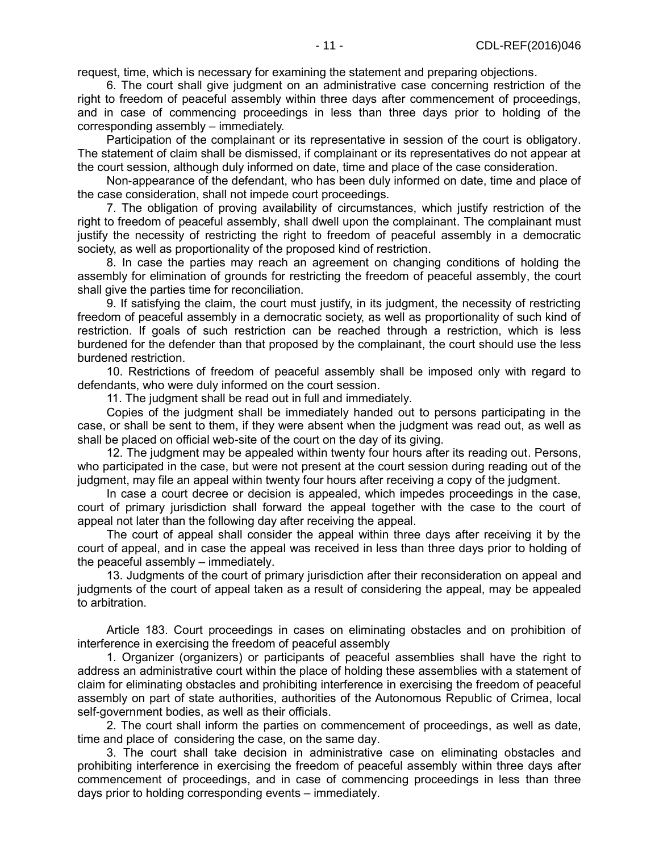request, time, which is necessary for examining the statement and preparing objections.

6. The court shall give judgment on an administrative case concerning restriction of the right to freedom of peaceful assembly within three days after commencement of proceedings, and in case of commencing proceedings in less than three days prior to holding of the corresponding assembly – immediately.

Participation of the complainant or its representative in session of the court is obligatory. The statement of claim shall be dismissed, if complainant or its representatives do not appear at the court session, although duly informed on date, time and place of the case consideration.

Non-appearance of the defendant, who has been duly informed on date, time and place of the case consideration, shall not impede court proceedings.

7. The obligation of proving availability of circumstances, which justify restriction of the right to freedom of peaceful assembly, shall dwell upon the complainant. The complainant must justify the necessity of restricting the right to freedom of peaceful assembly in a democratic society, as well as proportionality of the proposed kind of restriction.

8. In case the parties may reach an agreement on changing conditions of holding the assembly for elimination of grounds for restricting the freedom of peaceful assembly, the court shall give the parties time for reconciliation.

9. If satisfying the claim, the court must justify, in its judgment, the necessity of restricting freedom of peaceful assembly in a democratic society, as well as proportionality of such kind of restriction. If goals of such restriction can be reached through a restriction, which is less burdened for the defender than that proposed by the complainant, the court should use the less burdened restriction.

10. Restrictions of freedom of peaceful assembly shall be imposed only with regard to defendants, who were duly informed on the court session.

11. The judgment shall be read out in full and immediately.

Copies of the judgment shall be immediately handed out to persons participating in the case, or shall be sent to them, if they were absent when the judgment was read out, as well as shall be placed on official web-site of the court on the day of its giving.

12. The judgment may be appealed within twenty four hours after its reading out. Persons, who participated in the case, but were not present at the court session during reading out of the judgment, may file an appeal within twenty four hours after receiving a copy of the judgment.

In case a court decree or decision is appealed, which impedes proceedings in the case, court of primary jurisdiction shall forward the appeal together with the case to the court of appeal not later than the following day after receiving the appeal.

The court of appeal shall consider the appeal within three days after receiving it by the court of appeal, and in case the appeal was received in less than three days prior to holding of the peaceful assembly – immediately.

13. Judgments of the court of primary jurisdiction after their reconsideration on appeal and judgments of the court of appeal taken as a result of considering the appeal, may be appealed to arbitration.

Article 183. Court proceedings in cases on eliminating obstacles and on prohibition of interference in exercising the freedom of peaceful assembly

1. Organizer (organizers) or participants of peaceful assemblies shall have the right to address an administrative court within the place of holding these assemblies with a statement of claim for eliminating obstacles and prohibiting interference in exercising the freedom of peaceful assembly on part of state authorities, authorities of the Autonomous Republic of Crimea, local self-government bodies, as well as their officials.

2. The court shall inform the parties on commencement of proceedings, as well as date, time and place of considering the case, on the same day.

3. The court shall take decision in administrative case on eliminating obstacles and prohibiting interference in exercising the freedom of peaceful assembly within three days after commencement of proceedings, and in case of commencing proceedings in less than three days prior to holding corresponding events – immediately.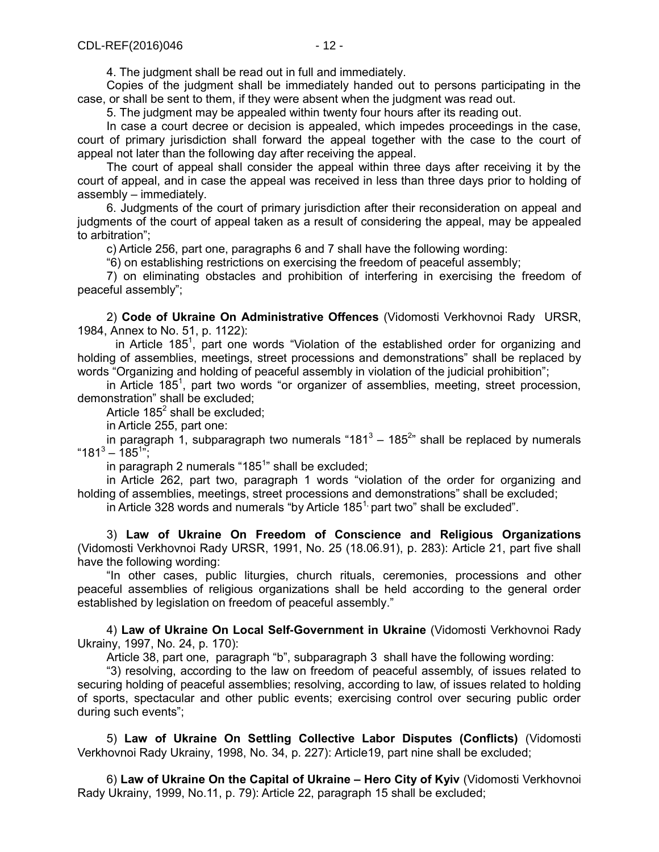4. The judgment shall be read out in full and immediately.

Copies of the judgment shall be immediately handed out to persons participating in the case, or shall be sent to them, if they were absent when the judgment was read out.

5. The judgment may be appealed within twenty four hours after its reading out.

In case a court decree or decision is appealed, which impedes proceedings in the case, court of primary jurisdiction shall forward the appeal together with the case to the court of appeal not later than the following day after receiving the appeal.

The court of appeal shall consider the appeal within three days after receiving it by the court of appeal, and in case the appeal was received in less than three days prior to holding of assembly – immediately.

6. Judgments of the court of primary jurisdiction after their reconsideration on appeal and judgments of the court of appeal taken as a result of considering the appeal, may be appealed to arbitration";

c) Article 256, part one, paragraphs 6 and 7 shall have the following wording:

"6) on establishing restrictions on exercising the freedom of peaceful assembly;

7) on eliminating obstacles and prohibition of interfering in exercising the freedom of peaceful assembly";

2) **Code of Ukraine On Administrative Offences** (Vidomosti Verkhovnoi Rady URSR, 1984, Annex to No. 51, p. 1122):

in Article 185<sup>1</sup>, part one words "Violation of the established order for organizing and holding of assemblies, meetings, street processions and demonstrations" shall be replaced by words "Organizing and holding of peaceful assembly in violation of the judicial prohibition";

in Article 185<sup>1</sup>, part two words "or organizer of assemblies, meeting, street procession, demonstration" shall be excluded;

Article 185 $^2$  shall be excluded;

in Article 255, part one:

in paragraph 1, subparagraph two numerals "181<sup>3</sup> – 185<sup>2</sup>" shall be replaced by numerals  $"181" - 185";$ 

in paragraph 2 numerals "185<sup>1</sup>" shall be excluded;

in Article 262, part two, paragraph 1 words "violation of the order for organizing and holding of assemblies, meetings, street processions and demonstrations" shall be excluded;

in Article 328 words and numerals "by Article  $185<sup>1</sup>$  part two" shall be excluded".

3) **Law of Ukraine On Freedom of Conscience and Religious Organizations** (Vidomosti Verkhovnoi Rady URSR, 1991, No. 25 (18.06.91), p. 283): Article 21, part five shall have the following wording:

"In other cases, public liturgies, church rituals, ceremonies, processions and other peaceful assemblies of religious organizations shall be held according to the general order established by legislation on freedom of peaceful assembly."

4) **Law of Ukraine On Local Self-Government in Ukraine** (Vidomosti Verkhovnoi Rady Ukrainy, 1997, No. 24, p. 170):

Article 38, part one, paragraph "b", subparagraph 3 shall have the following wording:

"3) resolving, according to the law on freedom of peaceful assembly, of issues related to securing holding of peaceful assemblies; resolving, according to law, of issues related to holding of sports, spectacular and other public events; exercising control over securing public order during such events";

5) **Law of Ukraine On Settling Collective Labor Disputes (Conflicts)** (Vidomosti Verkhovnoi Rady Ukrainy, 1998, No. 34, p. 227): Article19, part nine shall be excluded;

6) **Law of Ukraine On the Capital of Ukraine – Hero City of Kyiv** (Vidomosti Verkhovnoi Rady Ukrainy, 1999, No.11, p. 79): Article 22, paragraph 15 shall be excluded;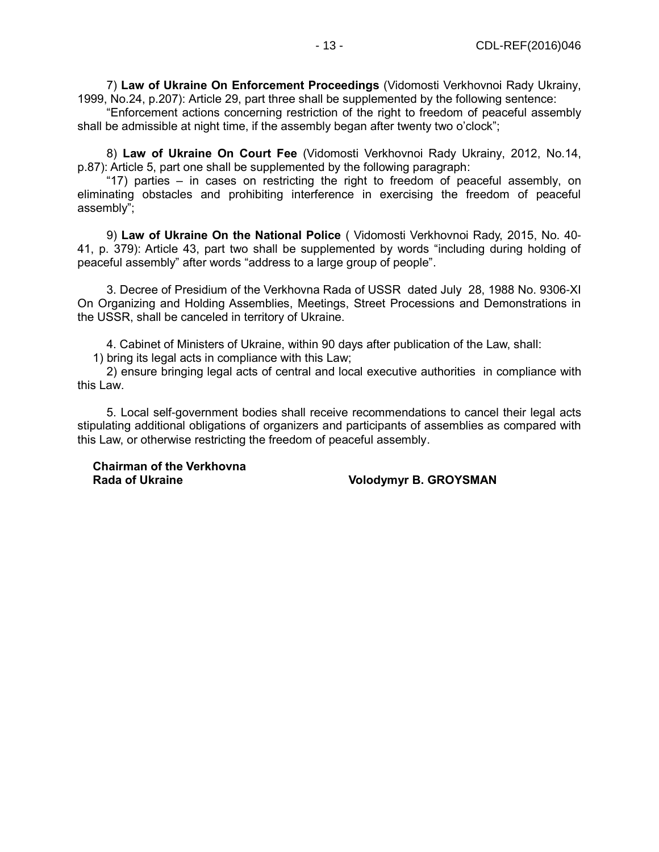7) **Law of Ukraine On Enforcement Proceedings** (Vidomosti Verkhovnoi Rady Ukrainy, 1999, No.24, p.207): Article 29, part three shall be supplemented by the following sentence:

"Enforcement actions concerning restriction of the right to freedom of peaceful assembly shall be admissible at night time, if the assembly began after twenty two o'clock";

8) **Law of Ukraine On Court Fee** (Vidomosti Verkhovnoi Rady Ukrainy, 2012, No.14, p.87): Article 5, part one shall be supplemented by the following paragraph:

"17) parties – in cases on restricting the right to freedom of peaceful assembly, on eliminating obstacles and prohibiting interference in exercising the freedom of peaceful assembly";

9) **Law of Ukraine On the National Police** ( Vidomosti Verkhovnoi Rady, 2015, No. 40- 41, p. 379): Article 43, part two shall be supplemented by words "including during holding of peaceful assembly" after words "address to a large group of people".

3. Decree of Presidium of the Verkhovna Rada of USSR dated July 28, 1988 No. 9306-XI On Organizing and Holding Assemblies, Meetings, Street Processions and Demonstrations in the USSR, shall be canceled in territory of Ukraine.

4. Cabinet of Ministers of Ukraine, within 90 days after publication of the Law, shall:

1) bring its legal acts in compliance with this Law;

2) ensure bringing legal acts of central and local executive authorities in compliance with this Law.

5. Local self-government bodies shall receive recommendations to cancel their legal acts stipulating additional obligations of organizers and participants of assemblies as compared with this Law, or otherwise restricting the freedom of peaceful assembly.

**Chairman of the Verkhovna**

**Volodymyr B. GROYSMAN**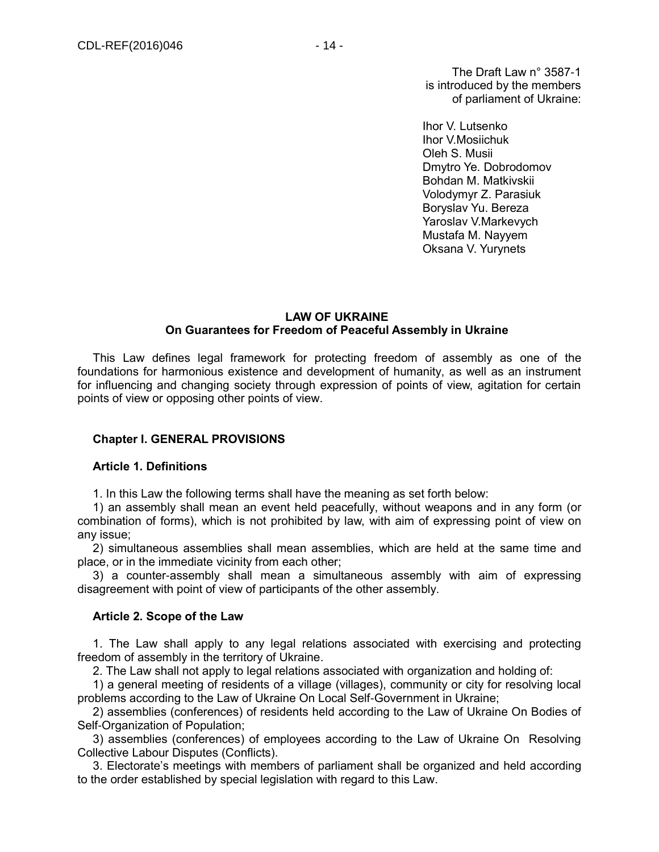The Draft Law n° 3587-1 is introduced by the members of parliament of Ukraine:

Ihor V. Lutsenko Ihor V.Mosiichuk Oleh S. Musii Dmytro Ye. Dobrodomov Bohdan M. Matkivskii Volodymyr Z. Parasiuk Boryslav Yu. Bereza Yaroslav V.Markevych Mustafa M. Nayyem Oksana V. Yurynets

## **LAW OF UKRAINE On Guarantees for Freedom of Peaceful Assembly in Ukraine**

This Law defines legal framework for protecting freedom of assembly as one of the foundations for harmonious existence and development of humanity, as well as an instrument for influencing and changing society through expression of points of view, agitation for certain points of view or opposing other points of view.

## **Chapter I. GENERAL PROVISIONS**

#### **Article 1. Definitions**

1. In this Law the following terms shall have the meaning as set forth below:

1) an assembly shall mean an event held peacefully, without weapons and in any form (or combination of forms), which is not prohibited by law, with aim of expressing point of view on any issue;

2) simultaneous assemblies shall mean assemblies, which are held at the same time and place, or in the immediate vicinity from each other;

3) a counter-assembly shall mean a simultaneous assembly with aim of expressing disagreement with point of view of participants of the other assembly.

#### **Article 2. Scope of the Law**

1. The Law shall apply to any legal relations associated with exercising and protecting freedom of assembly in the territory of Ukraine.

2. The Law shall not apply to legal relations associated with organization and holding of:

1) a general meeting of residents of a village (villages), community or city for resolving local problems according to the Law of Ukraine On Local Self-Government in Ukraine;

2) assemblies (conferences) of residents held according to the Law of Ukraine On Bodies of Self-Organization of Population;

3) assemblies (conferences) of employees according to the Law of Ukraine On Resolving Collective Labour Disputes (Conflicts).

3. Electorate's meetings with members of parliament shall be organized and held according to the order established by special legislation with regard to this Law.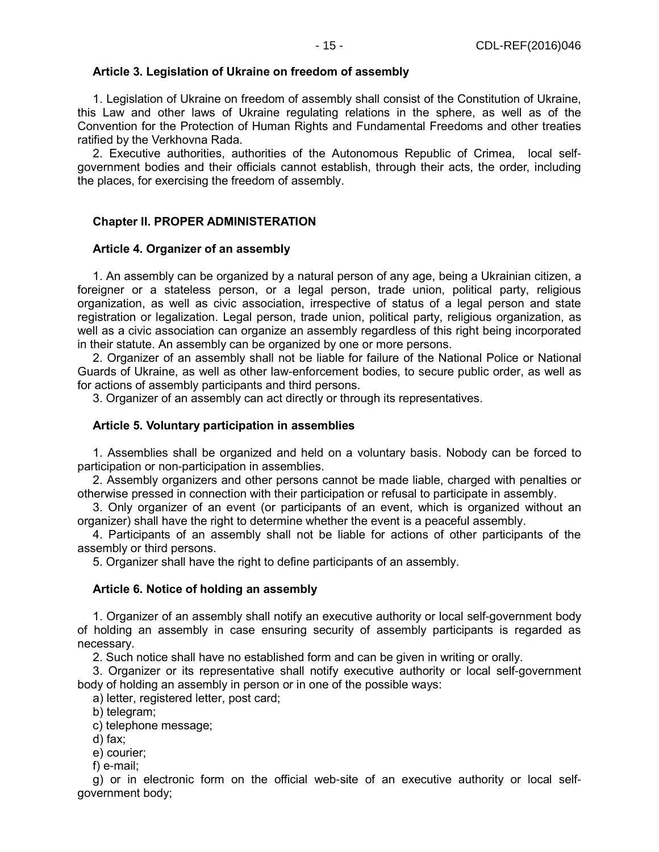#### **Article 3. Legislation of Ukraine on freedom of assembly**

1. Legislation of Ukraine on freedom of assembly shall consist of the Constitution of Ukraine, this Law and other laws of Ukraine regulating relations in the sphere, as well as of the Convention for the Protection of Human Rights and Fundamental Freedoms and other treaties ratified by the Verkhovna Rada.

2. Executive authorities, authorities of the Autonomous Republic of Crimea, local selfgovernment bodies and their officials cannot establish, through their acts, the order, including the places, for exercising the freedom of assembly.

## **Chapter II. PROPER ADMINISTERATION**

#### **Article 4. Organizer of an assembly**

1. An assembly can be organized by a natural person of any age, being a Ukrainian citizen, a foreigner or a stateless person, or a legal person, trade union, political party, religious organization, as well as civic association, irrespective of status of a legal person and state registration or legalization. Legal person, trade union, political party, religious organization, as well as a civic association can organize an assembly regardless of this right being incorporated in their statute. An assembly can be organized by one or more persons.

2. Organizer of an assembly shall not be liable for failure of the National Police or National Guards of Ukraine, as well as other law-enforcement bodies, to secure public order, as well as for actions of assembly participants and third persons.

3. Organizer of an assembly can act directly or through its representatives.

#### **Article 5. Voluntary participation in assemblies**

1. Assemblies shall be organized and held on a voluntary basis. Nobody can be forced to participation or non-participation in assemblies.

2. Assembly organizers and other persons cannot be made liable, charged with penalties or otherwise pressed in connection with their participation or refusal to participate in assembly.

3. Only organizer of an event (or participants of an event, which is organized without an organizer) shall have the right to determine whether the event is a peaceful assembly.

4. Participants of an assembly shall not be liable for actions of other participants of the assembly or third persons.

5. Organizer shall have the right to define participants of an assembly.

#### **Article 6. Notice of holding an assembly**

1. Organizer of an assembly shall notify an executive authority or local self-government body of holding an assembly in case ensuring security of assembly participants is regarded as necessary.

2. Such notice shall have no established form and can be given in writing or orally.

3. Organizer or its representative shall notify executive authority or local self-government body of holding an assembly in person or in one of the possible ways:

a) letter, registered letter, post card;

b) telegram;

c) telephone message;

d) fax;

e) courier;

f) e-mail;

g) or in electronic form on the official web-site of an executive authority or local selfgovernment body;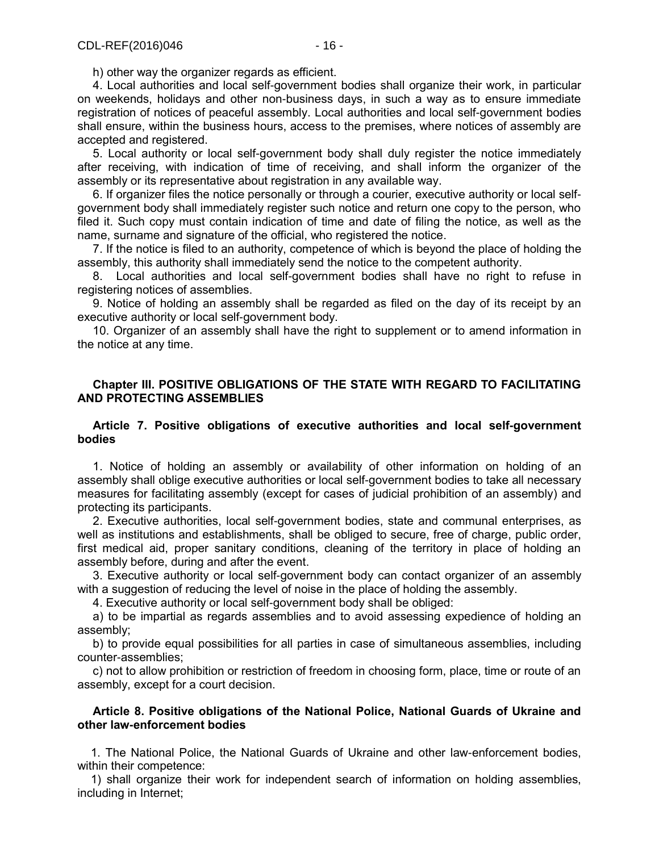h) other way the organizer regards as efficient.

4. Local authorities and local self-government bodies shall organize their work, in particular on weekends, holidays and other non-business days, in such a way as to ensure immediate registration of notices of peaceful assembly. Local authorities and local self-government bodies shall ensure, within the business hours, access to the premises, where notices of assembly are accepted and registered.

5. Local authority or local self-government body shall duly register the notice immediately after receiving, with indication of time of receiving, and shall inform the organizer of the assembly or its representative about registration in any available way.

6. If organizer files the notice personally or through a courier, executive authority or local selfgovernment body shall immediately register such notice and return one copy to the person, who filed it. Such copy must contain indication of time and date of filing the notice, as well as the name, surname and signature of the official, who registered the notice.

7. If the notice is filed to an authority, competence of which is beyond the place of holding the assembly, this authority shall immediately send the notice to the competent authority.

8. Local authorities and local self-government bodies shall have no right to refuse in registering notices of assemblies.

9. Notice of holding an assembly shall be regarded as filed on the day of its receipt by an executive authority or local self-government body.

10. Organizer of an assembly shall have the right to supplement or to amend information in the notice at any time.

## **Chapter III. POSITIVE OBLIGATIONS OF THE STATE WITH REGARD TO FACILITATING AND PROTECTING ASSEMBLIES**

## **Article 7. Positive obligations of executive authorities and local self-government bodies**

1. Notice of holding an assembly or availability of other information on holding of an assembly shall oblige executive authorities or local self-government bodies to take all necessary measures for facilitating assembly (except for cases of judicial prohibition of an assembly) and protecting its participants.

2. Executive authorities, local self-government bodies, state and communal enterprises, as well as institutions and establishments, shall be obliged to secure, free of charge, public order, first medical aid, proper sanitary conditions, cleaning of the territory in place of holding an assembly before, during and after the event.

3. Executive authority or local self-government body can contact organizer of an assembly with a suggestion of reducing the level of noise in the place of holding the assembly.

4. Executive authority or local self-government body shall be obliged:

a) to be impartial as regards assemblies and to avoid assessing expedience of holding an assembly;

b) to provide equal possibilities for all parties in case of simultaneous assemblies, including counter-assemblies;

c) not to allow prohibition or restriction of freedom in choosing form, place, time or route of an assembly, except for a court decision.

## **Article 8. Positive obligations of the National Police, National Guards of Ukraine and other law-enforcement bodies**

 1. The National Police, the National Guards of Ukraine and other law-enforcement bodies, within their competence:

 1) shall organize their work for independent search of information on holding assemblies, including in Internet;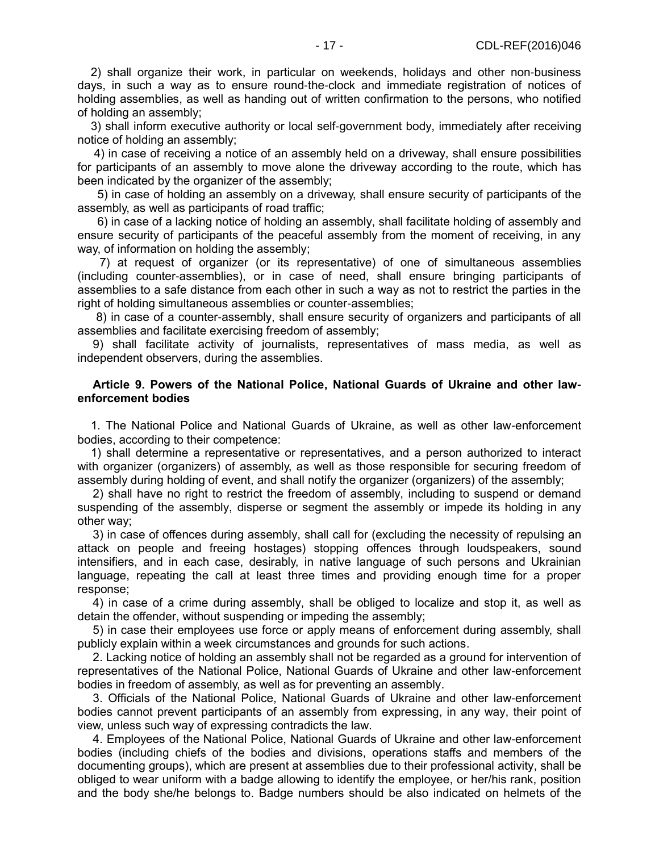2) shall organize their work, in particular on weekends, holidays and other non-business days, in such a way as to ensure round-the-clock and immediate registration of notices of holding assemblies, as well as handing out of written confirmation to the persons, who notified of holding an assembly;

 3) shall inform executive authority or local self-government body, immediately after receiving notice of holding an assembly;

 4) in case of receiving a notice of an assembly held on a driveway, shall ensure possibilities for participants of an assembly to move alone the driveway according to the route, which has been indicated by the organizer of the assembly;

 5) in case of holding an assembly on a driveway, shall ensure security of participants of the assembly, as well as participants of road traffic;

 6) in case of a lacking notice of holding an assembly, shall facilitate holding of assembly and ensure security of participants of the peaceful assembly from the moment of receiving, in any way, of information on holding the assembly;

 7) at request of organizer (or its representative) of one of simultaneous assemblies (including counter-assemblies), or in case of need, shall ensure bringing participants of assemblies to a safe distance from each other in such a way as not to restrict the parties in the right of holding simultaneous assemblies or counter-assemblies;

8) in case of a counter-assembly, shall ensure security of organizers and participants of all assemblies and facilitate exercising freedom of assembly;

9) shall facilitate activity of journalists, representatives of mass media, as well as independent observers, during the assemblies.

#### **Article 9. Powers of the National Police, National Guards of Ukraine and other lawenforcement bodies**

 1. The National Police and National Guards of Ukraine, as well as other law-enforcement bodies, according to their competence:

 1) shall determine a representative or representatives, and a person authorized to interact with organizer (organizers) of assembly, as well as those responsible for securing freedom of assembly during holding of event, and shall notify the organizer (organizers) of the assembly;

2) shall have no right to restrict the freedom of assembly, including to suspend or demand suspending of the assembly, disperse or segment the assembly or impede its holding in any other way;

3) in case of offences during assembly, shall call for (excluding the necessity of repulsing an attack on people and freeing hostages) stopping offences through loudspeakers, sound intensifiers, and in each case, desirably, in native language of such persons and Ukrainian language, repeating the call at least three times and providing enough time for a proper response;

4) in case of a crime during assembly, shall be obliged to localize and stop it, as well as detain the offender, without suspending or impeding the assembly;

5) in case their employees use force or apply means of enforcement during assembly, shall publicly explain within a week circumstances and grounds for such actions.

2. Lacking notice of holding an assembly shall not be regarded as a ground for intervention of representatives of the National Police, National Guards of Ukraine and other law-enforcement bodies in freedom of assembly, as well as for preventing an assembly.

3. Officials of the National Police, National Guards of Ukraine and other law-enforcement bodies cannot prevent participants of an assembly from expressing, in any way, their point of view, unless such way of expressing contradicts the law.

4. Employees of the National Police, National Guards of Ukraine and other law-enforcement bodies (including chiefs of the bodies and divisions, operations staffs and members of the documenting groups), which are present at assemblies due to their professional activity, shall be obliged to wear uniform with a badge allowing to identify the employee, or her/his rank, position and the body she/he belongs to. Badge numbers should be also indicated on helmets of the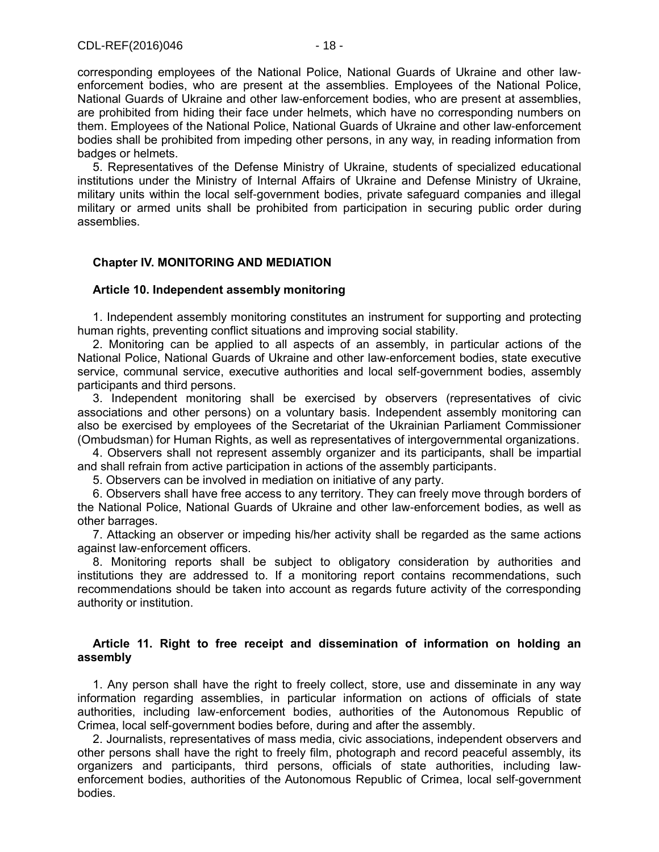corresponding employees of the National Police, National Guards of Ukraine and other lawenforcement bodies, who are present at the assemblies. Employees of the National Police, National Guards of Ukraine and other law-enforcement bodies, who are present at assemblies, are prohibited from hiding their face under helmets, which have no corresponding numbers on them. Employees of the National Police, National Guards of Ukraine and other law-enforcement bodies shall be prohibited from impeding other persons, in any way, in reading information from badges or helmets.

5. Representatives of the Defense Ministry of Ukraine, students of specialized educational institutions under the Ministry of Internal Affairs of Ukraine and Defense Ministry of Ukraine, military units within the local self-government bodies, private safeguard companies and illegal military or armed units shall be prohibited from participation in securing public order during assemblies.

## **Chapter IV. MONITORING AND MEDIATION**

## **Article 10. Independent assembly monitoring**

1. Independent assembly monitoring constitutes an instrument for supporting and protecting human rights, preventing conflict situations and improving social stability.

2. Monitoring can be applied to all aspects of an assembly, in particular actions of the National Police, National Guards of Ukraine and other law-enforcement bodies, state executive service, communal service, executive authorities and local self-government bodies, assembly participants and third persons.

3. Independent monitoring shall be exercised by observers (representatives of civic associations and other persons) on a voluntary basis. Independent assembly monitoring can also be exercised by employees of the Secretariat of the Ukrainian Parliament Commissioner (Ombudsman) for Human Rights, as well as representatives of intergovernmental organizations.

4. Observers shall not represent assembly organizer and its participants, shall be impartial and shall refrain from active participation in actions of the assembly participants.

5. Observers can be involved in mediation on initiative of any party.

6. Observers shall have free access to any territory. They can freely move through borders of the National Police, National Guards of Ukraine and other law-enforcement bodies, as well as other barrages.

7. Attacking an observer or impeding his/her activity shall be regarded as the same actions against law-enforcement officers.

8. Monitoring reports shall be subject to obligatory consideration by authorities and institutions they are addressed to. If a monitoring report contains recommendations, such recommendations should be taken into account as regards future activity of the corresponding authority or institution.

#### **Article 11. Right to free receipt and dissemination of information on holding an assembly**

1. Any person shall have the right to freely collect, store, use and disseminate in any way information regarding assemblies, in particular information on actions of officials of state authorities, including law-enforcement bodies, authorities of the Autonomous Republic of Crimea, local self-government bodies before, during and after the assembly.

2. Journalists, representatives of mass media, civic associations, independent observers and other persons shall have the right to freely film, photograph and record peaceful assembly, its organizers and participants, third persons, officials of state authorities, including lawenforcement bodies, authorities of the Autonomous Republic of Crimea, local self-government bodies.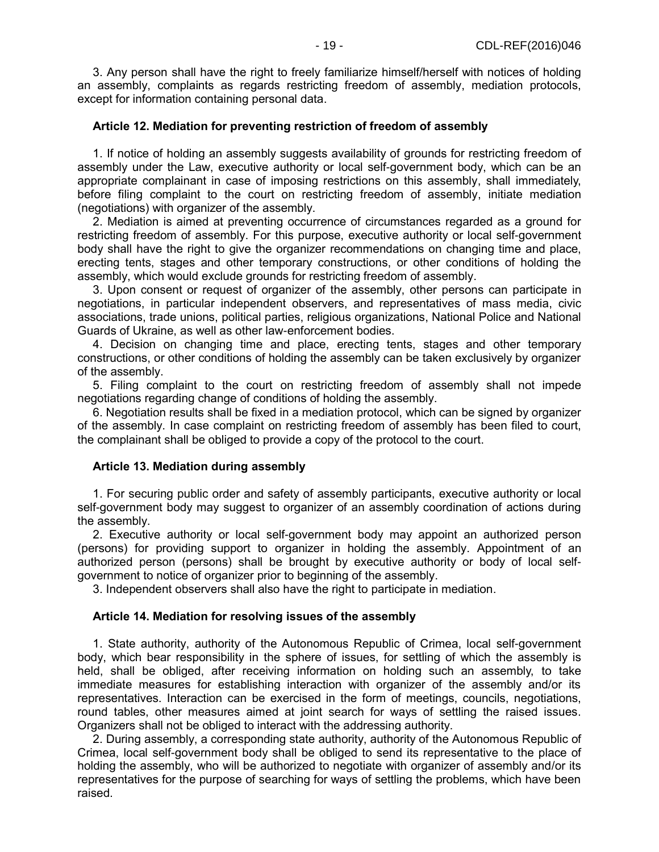3. Any person shall have the right to freely familiarize himself/herself with notices of holding an assembly, complaints as regards restricting freedom of assembly, mediation protocols, except for information containing personal data.

#### **Article 12. Mediation for preventing restriction of freedom of assembly**

1. If notice of holding an assembly suggests availability of grounds for restricting freedom of assembly under the Law, executive authority or local self-government body, which can be an appropriate complainant in case of imposing restrictions on this assembly, shall immediately, before filing complaint to the court on restricting freedom of assembly, initiate mediation (negotiations) with organizer of the assembly.

2. Mediation is aimed at preventing occurrence of circumstances regarded as a ground for restricting freedom of assembly. For this purpose, executive authority or local self-government body shall have the right to give the organizer recommendations on changing time and place, erecting tents, stages and other temporary constructions, or other conditions of holding the assembly, which would exclude grounds for restricting freedom of assembly.

3. Upon consent or request of organizer of the assembly, other persons can participate in negotiations, in particular independent observers, and representatives of mass media, civic associations, trade unions, political parties, religious organizations, National Police and National Guards of Ukraine, as well as other law-enforcement bodies.

4. Decision on changing time and place, erecting tents, stages and other temporary constructions, or other conditions of holding the assembly can be taken exclusively by organizer of the assembly.

5. Filing complaint to the court on restricting freedom of assembly shall not impede negotiations regarding change of conditions of holding the assembly.

6. Negotiation results shall be fixed in a mediation protocol, which can be signed by organizer of the assembly. In case complaint on restricting freedom of assembly has been filed to court, the complainant shall be obliged to provide a copy of the protocol to the court.

## **Article 13. Mediation during assembly**

1. For securing public order and safety of assembly participants, executive authority or local self-government body may suggest to organizer of an assembly coordination of actions during the assembly.

2. Executive authority or local self-government body may appoint an authorized person (persons) for providing support to organizer in holding the assembly. Appointment of an authorized person (persons) shall be brought by executive authority or body of local selfgovernment to notice of organizer prior to beginning of the assembly.

3. Independent observers shall also have the right to participate in mediation.

## **Article 14. Mediation for resolving issues of the assembly**

1. State authority, authority of the Autonomous Republic of Crimea, local self-government body, which bear responsibility in the sphere of issues, for settling of which the assembly is held, shall be obliged, after receiving information on holding such an assembly, to take immediate measures for establishing interaction with organizer of the assembly and/or its representatives. Interaction can be exercised in the form of meetings, councils, negotiations, round tables, other measures aimed at joint search for ways of settling the raised issues. Organizers shall not be obliged to interact with the addressing authority.

2. During assembly, a corresponding state authority, authority of the Autonomous Republic of Crimea, local self-government body shall be obliged to send its representative to the place of holding the assembly, who will be authorized to negotiate with organizer of assembly and/or its representatives for the purpose of searching for ways of settling the problems, which have been raised.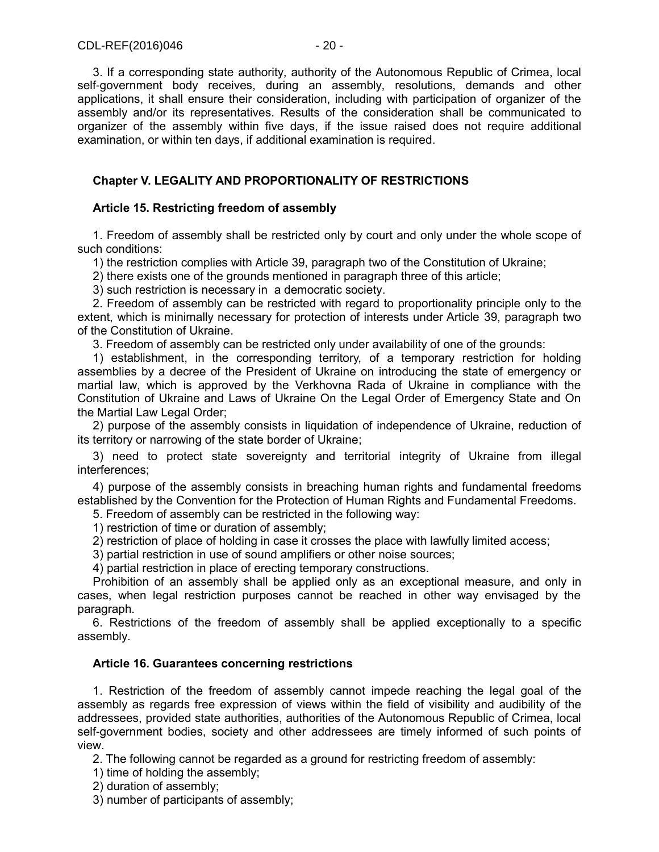3. If a corresponding state authority, authority of the Autonomous Republic of Crimea, local self-government body receives, during an assembly, resolutions, demands and other applications, it shall ensure their consideration, including with participation of organizer of the assembly and/or its representatives. Results of the consideration shall be communicated to organizer of the assembly within five days, if the issue raised does not require additional examination, or within ten days, if additional examination is required.

## **Chapter V. LEGALITY AND PROPORTIONALITY OF RESTRICTIONS**

## **Article 15. Restricting freedom of assembly**

1. Freedom of assembly shall be restricted only by court and only under the whole scope of such conditions:

1) the restriction complies with Article 39, paragraph two of the Constitution of Ukraine;

2) there exists one of the grounds mentioned in paragraph three of this article;

3) such restriction is necessary in a democratic society.

2. Freedom of assembly can be restricted with regard to proportionality principle only to the extent, which is minimally necessary for protection of interests under Article 39, paragraph two of the Constitution of Ukraine.

3. Freedom of assembly can be restricted only under availability of one of the grounds:

1) establishment, in the corresponding territory, of a temporary restriction for holding assemblies by a decree of the President of Ukraine on introducing the state of emergency or martial law, which is approved by the Verkhovna Rada of Ukraine in compliance with the Constitution of Ukraine and Laws of Ukraine On the Legal Order of Emergency State and On the Martial Law Legal Order;

2) purpose of the assembly consists in liquidation of independence of Ukraine, reduction of its territory or narrowing of the state border of Ukraine;

3) need to protect state sovereignty and territorial integrity of Ukraine from illegal interferences;

4) purpose of the assembly consists in breaching human rights and fundamental freedoms established by the Convention for the Protection of Human Rights and Fundamental Freedoms.

5. Freedom of assembly can be restricted in the following way:

1) restriction of time or duration of assembly;

2) restriction of place of holding in case it crosses the place with lawfully limited access;

3) partial restriction in use of sound amplifiers or other noise sources;

4) partial restriction in place of erecting temporary constructions.

Prohibition of an assembly shall be applied only as an exceptional measure, and only in cases, when legal restriction purposes cannot be reached in other way envisaged by the paragraph.

6. Restrictions of the freedom of assembly shall be applied exceptionally to a specific assembly.

## **Article 16. Guarantees concerning restrictions**

1. Restriction of the freedom of assembly cannot impede reaching the legal goal of the assembly as regards free expression of views within the field of visibility and audibility of the addressees, provided state authorities, authorities of the Autonomous Republic of Crimea, local self-government bodies, society and other addressees are timely informed of such points of view.

2. The following cannot be regarded as a ground for restricting freedom of assembly:

1) time of holding the assembly;

2) duration of assembly;

3) number of participants of assembly;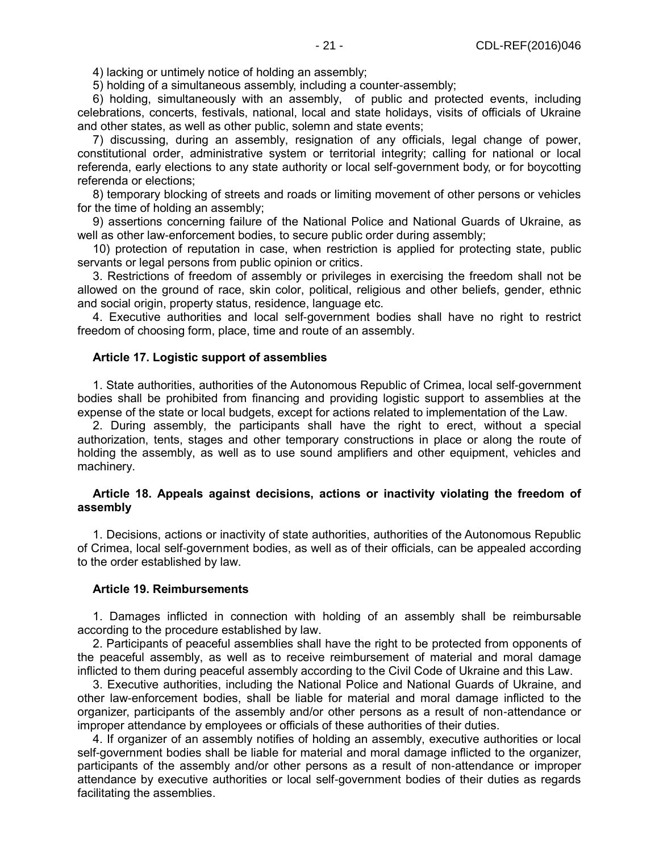4) lacking or untimely notice of holding an assembly;

5) holding of a simultaneous assembly, including a counter-assembly;

6) holding, simultaneously with an assembly, of public and protected events, including celebrations, concerts, festivals, national, local and state holidays, visits of officials of Ukraine and other states, as well as other public, solemn and state events;

7) discussing, during an assembly, resignation of any officials, legal change of power, constitutional order, administrative system or territorial integrity; calling for national or local referenda, early elections to any state authority or local self-government body, or for boycotting referenda or elections;

8) temporary blocking of streets and roads or limiting movement of other persons or vehicles for the time of holding an assembly;

9) assertions concerning failure of the National Police and National Guards of Ukraine, as well as other law-enforcement bodies, to secure public order during assembly;

10) protection of reputation in case, when restriction is applied for protecting state, public servants or legal persons from public opinion or critics.

3. Restrictions of freedom of assembly or privileges in exercising the freedom shall not be allowed on the ground of race, skin color, political, religious and other beliefs, gender, ethnic and social origin, property status, residence, language etc.

4. Executive authorities and local self-government bodies shall have no right to restrict freedom of choosing form, place, time and route of an assembly.

#### **Article 17. Logistic support of assemblies**

1. State authorities, authorities of the Autonomous Republic of Crimea, local self-government bodies shall be prohibited from financing and providing logistic support to assemblies at the expense of the state or local budgets, except for actions related to implementation of the Law.

2. During assembly, the participants shall have the right to erect, without a special authorization, tents, stages and other temporary constructions in place or along the route of holding the assembly, as well as to use sound amplifiers and other equipment, vehicles and machinery.

#### **Article 18. Appeals against decisions, actions or inactivity violating the freedom of assembly**

1. Decisions, actions or inactivity of state authorities, authorities of the Autonomous Republic of Crimea, local self-government bodies, as well as of their officials, can be appealed according to the order established by law.

#### **Article 19. Reimbursements**

1. Damages inflicted in connection with holding of an assembly shall be reimbursable according to the procedure established by law.

2. Participants of peaceful assemblies shall have the right to be protected from opponents of the peaceful assembly, as well as to receive reimbursement of material and moral damage inflicted to them during peaceful assembly according to the Civil Code of Ukraine and this Law.

3. Executive authorities, including the National Police and National Guards of Ukraine, and other law-enforcement bodies, shall be liable for material and moral damage inflicted to the organizer, participants of the assembly and/or other persons as a result of non-attendance or improper attendance by employees or officials of these authorities of their duties.

4. If organizer of an assembly notifies of holding an assembly, executive authorities or local self-government bodies shall be liable for material and moral damage inflicted to the organizer, participants of the assembly and/or other persons as a result of non-attendance or improper attendance by executive authorities or local self-government bodies of their duties as regards facilitating the assemblies.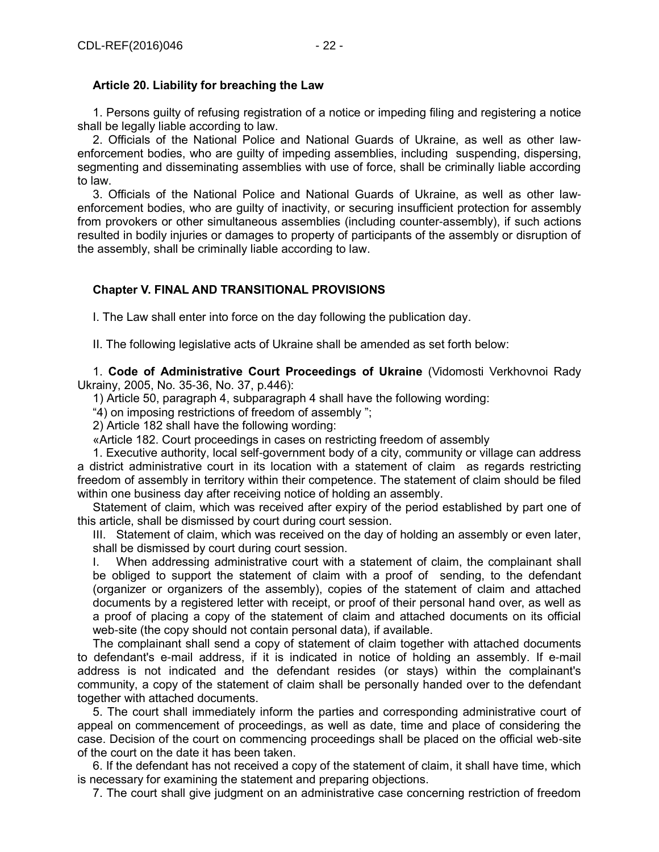#### **Article 20. Liability for breaching the Law**

1. Persons guilty of refusing registration of a notice or impeding filing and registering a notice shall be legally liable according to law.

2. Officials of the National Police and National Guards of Ukraine, as well as other lawenforcement bodies, who are guilty of impeding assemblies, including suspending, dispersing, segmenting and disseminating assemblies with use of force, shall be criminally liable according to law.

3. Officials of the National Police and National Guards of Ukraine, as well as other lawenforcement bodies, who are guilty of inactivity, or securing insufficient protection for assembly from provokers or other simultaneous assemblies (including counter-assembly), if such actions resulted in bodily injuries or damages to property of participants of the assembly or disruption of the assembly, shall be criminally liable according to law.

## **Chapter V. FINAL AND TRANSITIONAL PROVISIONS**

І. The Law shall enter into force on the day following the publication day.

ІІ. The following legislative acts of Ukraine shall be amended as set forth below:

1. **Code of Administrative Court Proceedings of Ukraine** (Vidomosti Verkhovnoi Rady Ukrainy, 2005, No. 35-36, No. 37, p.446):

1) Article 50, paragraph 4, subparagraph 4 shall have the following wording:

"4) on imposing restrictions of freedom of assembly ";

2) Article 182 shall have the following wording:

«Article 182. Court proceedings in cases on restricting freedom of assembly

1. Executive authority, local self-government body of a city, community or village can address a district administrative court in its location with a statement of claim as regards restricting freedom of assembly in territory within their competence. The statement of claim should be filed within one business day after receiving notice of holding an assembly.

Statement of claim, which was received after expiry of the period established by part one of this article, shall be dismissed by court during court session.

III. Statement of claim, which was received on the day of holding an assembly or even later, shall be dismissed by court during court session.

I. When addressing administrative court with a statement of claim, the complainant shall be obliged to support the statement of claim with a proof of sending, to the defendant (organizer or organizers of the assembly), copies of the statement of claim and attached documents by a registered letter with receipt, or proof of their personal hand over, as well as a proof of placing a copy of the statement of claim and attached documents on its official web-site (the copy should not contain personal data), if available.

The complainant shall send a copy of statement of claim together with attached documents to defendant's e-mail address, if it is indicated in notice of holding an assembly. If e-mail address is not indicated and the defendant resides (or stays) within the complainant's community, a copy of the statement of claim shall be personally handed over to the defendant together with attached documents.

5. The court shall immediately inform the parties and corresponding administrative court of appeal on commencement of proceedings, as well as date, time and place of considering the case. Decision of the court on commencing proceedings shall be placed on the official web-site of the court on the date it has been taken.

6. If the defendant has not received a copy of the statement of claim, it shall have time, which is necessary for examining the statement and preparing objections.

7. The court shall give judgment on an administrative case concerning restriction of freedom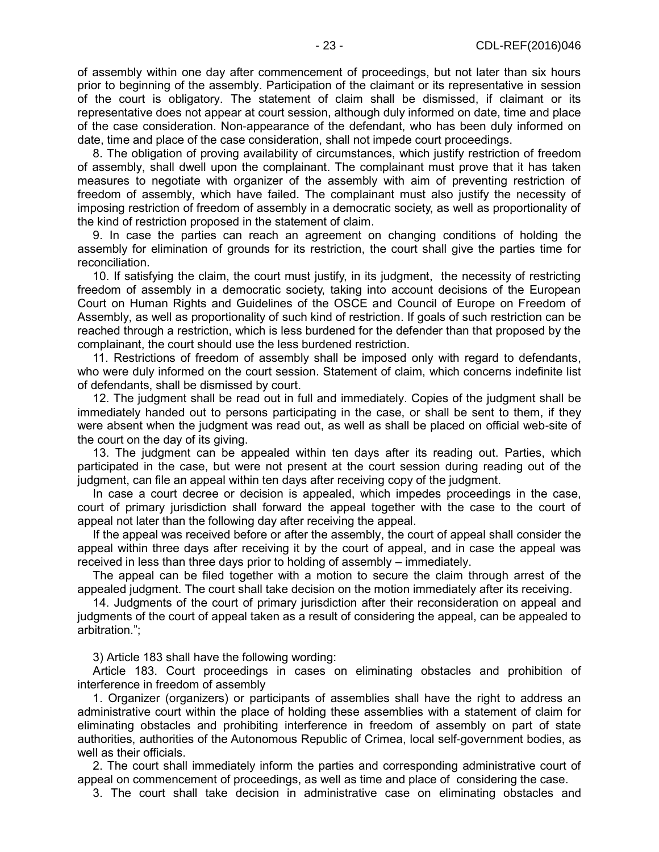of assembly within one day after commencement of proceedings, but not later than six hours prior to beginning of the assembly. Participation of the claimant or its representative in session of the court is obligatory. The statement of claim shall be dismissed, if claimant or its representative does not appear at court session, although duly informed on date, time and place of the case consideration. Non-appearance of the defendant, who has been duly informed on date, time and place of the case consideration, shall not impede court proceedings.

8. The obligation of proving availability of circumstances, which justify restriction of freedom of assembly, shall dwell upon the complainant. The complainant must prove that it has taken measures to negotiate with organizer of the assembly with aim of preventing restriction of freedom of assembly, which have failed. The complainant must also justify the necessity of imposing restriction of freedom of assembly in a democratic society, as well as proportionality of the kind of restriction proposed in the statement of claim.

9. In case the parties can reach an agreement on changing conditions of holding the assembly for elimination of grounds for its restriction, the court shall give the parties time for reconciliation.

10. If satisfying the claim, the court must justify, in its judgment, the necessity of restricting freedom of assembly in a democratic society, taking into account decisions of the European Court on Human Rights and Guidelines of the OSCE and Council of Europe on Freedom of Assembly, as well as proportionality of such kind of restriction. If goals of such restriction can be reached through a restriction, which is less burdened for the defender than that proposed by the complainant, the court should use the less burdened restriction.

11. Restrictions of freedom of assembly shall be imposed only with regard to defendants, who were duly informed on the court session. Statement of claim, which concerns indefinite list of defendants, shall be dismissed by court.

12. The judgment shall be read out in full and immediately. Copies of the judgment shall be immediately handed out to persons participating in the case, or shall be sent to them, if they were absent when the judgment was read out, as well as shall be placed on official web-site of the court on the day of its giving.

13. The judgment can be appealed within ten days after its reading out. Parties, which participated in the case, but were not present at the court session during reading out of the judgment, can file an appeal within ten days after receiving copy of the judgment.

In case a court decree or decision is appealed, which impedes proceedings in the case, court of primary jurisdiction shall forward the appeal together with the case to the court of appeal not later than the following day after receiving the appeal.

If the appeal was received before or after the assembly, the court of appeal shall consider the appeal within three days after receiving it by the court of appeal, and in case the appeal was received in less than three days prior to holding of assembly – immediately.

The appeal can be filed together with a motion to secure the claim through arrest of the appealed judgment. The court shall take decision on the motion immediately after its receiving.

14. Judgments of the court of primary jurisdiction after their reconsideration on appeal and judgments of the court of appeal taken as a result of considering the appeal, can be appealed to arbitration.";

3) Article 183 shall have the following wording:

Article 183. Court proceedings in cases on eliminating obstacles and prohibition of interference in freedom of assembly

1. Organizer (organizers) or participants of assemblies shall have the right to address an administrative court within the place of holding these assemblies with a statement of claim for eliminating obstacles and prohibiting interference in freedom of assembly on part of state authorities, authorities of the Autonomous Republic of Crimea, local self-government bodies, as well as their officials.

2. The court shall immediately inform the parties and corresponding administrative court of appeal on commencement of proceedings, as well as time and place of considering the case.

3. The court shall take decision in administrative case on eliminating obstacles and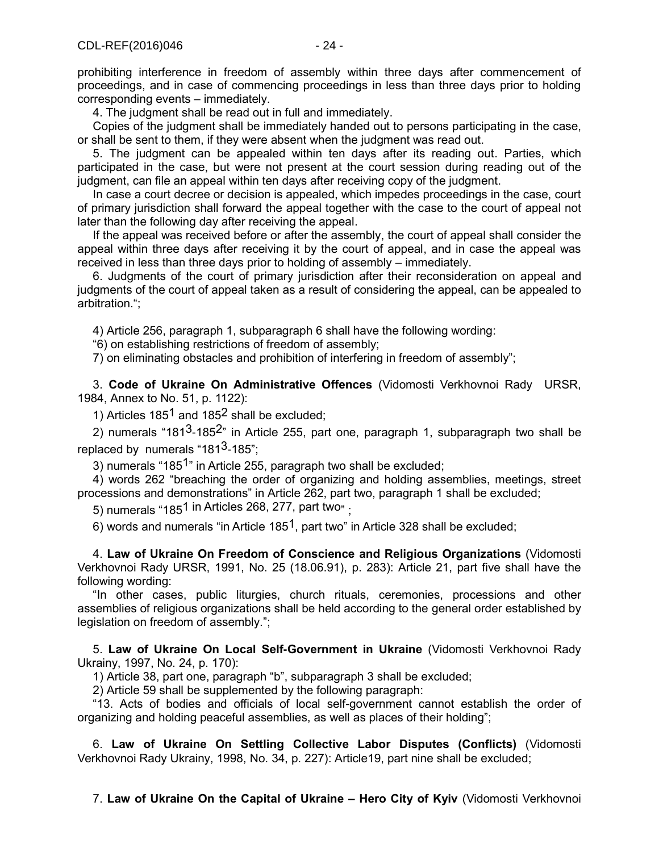prohibiting interference in freedom of assembly within three days after commencement of proceedings, and in case of commencing proceedings in less than three days prior to holding corresponding events – immediately.

4. The judgment shall be read out in full and immediately.

Copies of the judgment shall be immediately handed out to persons participating in the case, or shall be sent to them, if they were absent when the judgment was read out.

5. The judgment can be appealed within ten days after its reading out. Parties, which participated in the case, but were not present at the court session during reading out of the judgment, can file an appeal within ten days after receiving copy of the judgment.

In case a court decree or decision is appealed, which impedes proceedings in the case, court of primary jurisdiction shall forward the appeal together with the case to the court of appeal not later than the following day after receiving the appeal.

If the appeal was received before or after the assembly, the court of appeal shall consider the appeal within three days after receiving it by the court of appeal, and in case the appeal was received in less than three days prior to holding of assembly – immediately.

6. Judgments of the court of primary jurisdiction after their reconsideration on appeal and judgments of the court of appeal taken as a result of considering the appeal, can be appealed to arbitration.";

4) Article 256, paragraph 1, subparagraph 6 shall have the following wording:

"6) on establishing restrictions of freedom of assembly;

7) on eliminating obstacles and prohibition of interfering in freedom of assembly";

3. **Code of Ukraine On Administrative Offences** (Vidomosti Verkhovnoi Rady URSR, 1984, Annex to No. 51, p. 1122):

1) Articles 185<sup>1</sup> and 185<sup>2</sup> shall be excluded:

2) numerals "181<sup>3</sup>-185<sup>2</sup>" in Article 255, part one, paragraph 1, subparagraph two shall be replaced by numerals "181 $3$ -185";

3) numerals "1851" in Article 255, paragraph two shall be excluded;

4) words 262 "breaching the order of organizing and holding assemblies, meetings, street processions and demonstrations" in Article 262, part two, paragraph 1 shall be excluded;

5) numerals "1851 in Articles 268, 277, part two" ;

6) words and numerals "in Article 185<sup>1</sup>, part two" in Article 328 shall be excluded;

4. **Law of Ukraine On Freedom of Conscience and Religious Organizations** (Vidomosti Verkhovnoi Rady URSR, 1991, No. 25 (18.06.91), p. 283): Article 21, part five shall have the following wording:

"In other cases, public liturgies, church rituals, ceremonies, processions and other assemblies of religious organizations shall be held according to the general order established by legislation on freedom of assembly.";

5. **Law of Ukraine On Local Self-Government in Ukraine** (Vidomosti Verkhovnoi Rady Ukrainy, 1997, No. 24, p. 170):

1) Article 38, part one, paragraph "b", subparagraph 3 shall be excluded;

2) Article 59 shall be supplemented by the following paragraph:

"13. Acts of bodies and officials of local self-government cannot establish the order of organizing and holding peaceful assemblies, as well as places of their holding";

6. **Law of Ukraine On Settling Collective Labor Disputes (Conflicts)** (Vidomosti Verkhovnoi Rady Ukrainy, 1998, No. 34, p. 227): Article19, part nine shall be excluded;

7. **Law of Ukraine On the Capital of Ukraine – Hero City of Kyiv** (Vidomosti Verkhovnoi